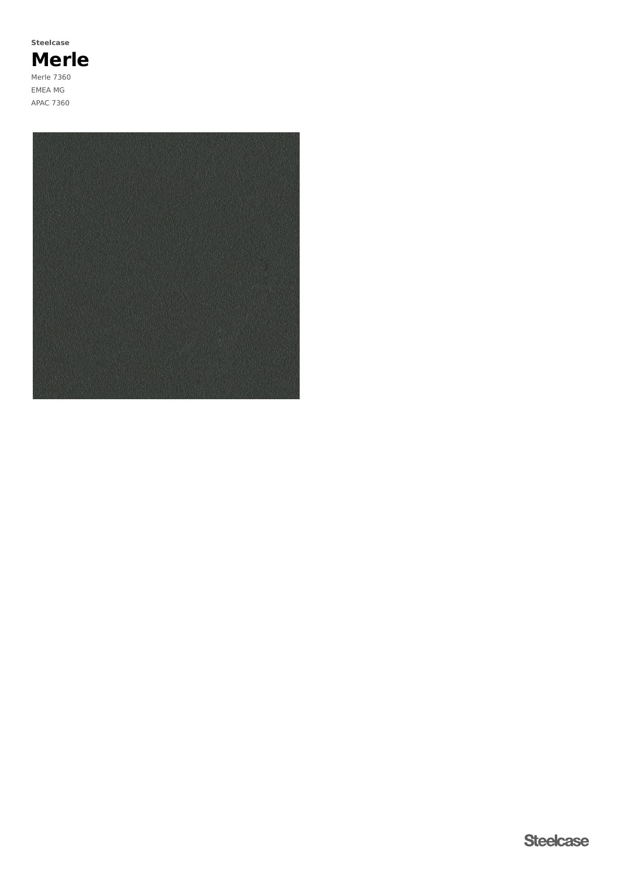**Merle** Merle 7360 EMEA MG APAC 7360 **Steelcase**

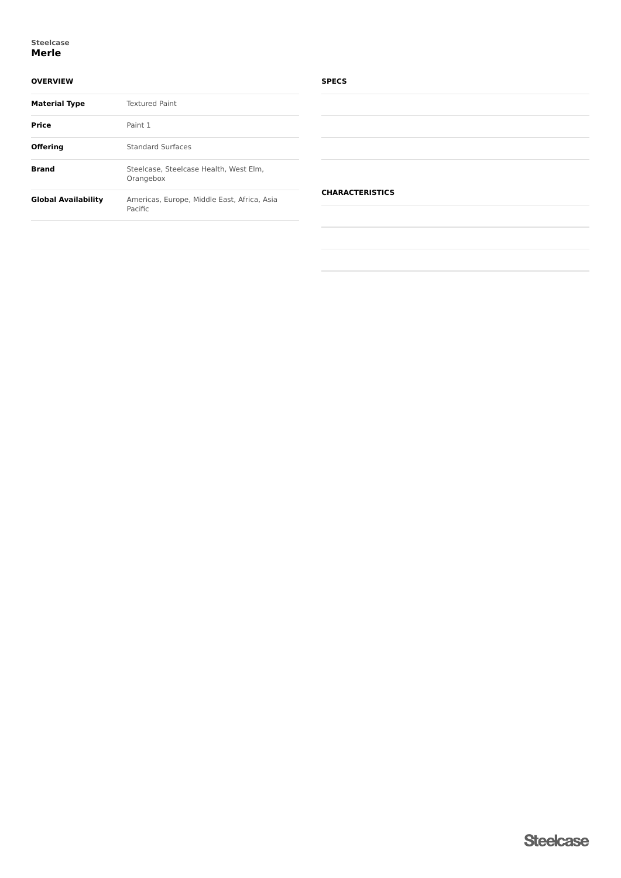## **Merle Steelcase**

## **OVERVIEW**

| <b>Material Type</b>       | <b>Textured Paint</b>                                  |
|----------------------------|--------------------------------------------------------|
| Price                      | Paint 1                                                |
| Offering                   | <b>Standard Surfaces</b>                               |
| <b>Brand</b>               | Steelcase, Steelcase Health, West Elm.<br>Orangebox    |
| <b>Global Availability</b> | Americas, Europe, Middle East, Africa, Asia<br>Pacific |

## **SPECS**

| the control of the control of the control of the control of the control of |  |  |
|----------------------------------------------------------------------------|--|--|
|                                                                            |  |  |
|                                                                            |  |  |
|                                                                            |  |  |
|                                                                            |  |  |
|                                                                            |  |  |
|                                                                            |  |  |
|                                                                            |  |  |
|                                                                            |  |  |
|                                                                            |  |  |
|                                                                            |  |  |
|                                                                            |  |  |
| $\frac{1}{2}$                                                              |  |  |
|                                                                            |  |  |
|                                                                            |  |  |
|                                                                            |  |  |
|                                                                            |  |  |
|                                                                            |  |  |
|                                                                            |  |  |
|                                                                            |  |  |
|                                                                            |  |  |
|                                                                            |  |  |
|                                                                            |  |  |
| $\sim$                                                                     |  |  |
|                                                                            |  |  |
|                                                                            |  |  |
|                                                                            |  |  |
|                                                                            |  |  |
|                                                                            |  |  |
|                                                                            |  |  |
|                                                                            |  |  |
|                                                                            |  |  |
|                                                                            |  |  |
|                                                                            |  |  |
|                                                                            |  |  |
|                                                                            |  |  |
|                                                                            |  |  |
|                                                                            |  |  |

# **CHARACTERISTICS**